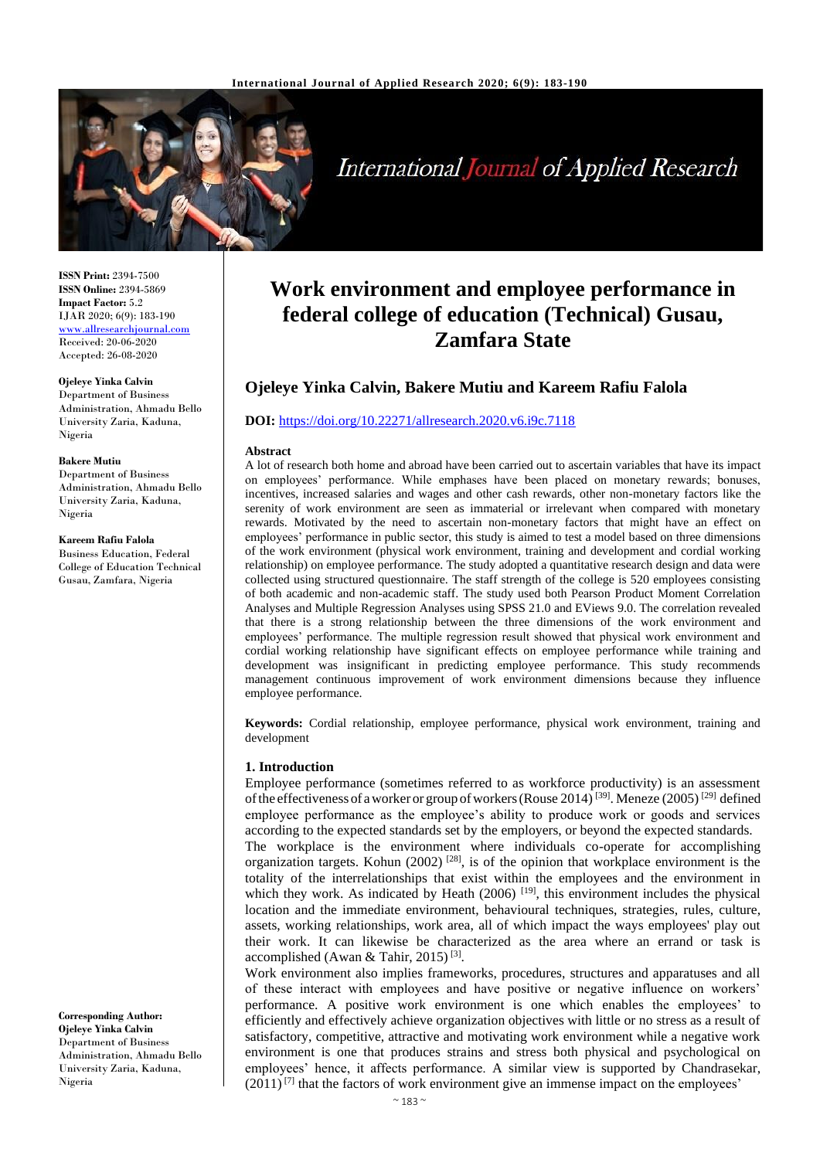

# **International Journal of Applied Research**

**ISSN Print:** 2394-7500 **ISSN Online:** 2394-5869 **Impact Factor:** 5.2 IJAR 2020; 6(9): 183-190 [www.allresearchjournal.com](http://www.allresearchjournal.com/) Received: 20-06-2020 Accepted: 26-08-2020

#### **Ojeleye Yinka Calvin**

Department of Business Administration, Ahmadu Bello University Zaria, Kaduna, Nigeria

#### **Bakere Mutiu**

Department of Business Administration, Ahmadu Bello University Zaria, Kaduna, Nigeria

**Kareem Rafiu Falola**

Business Education, Federal College of Education Technical Gusau, Zamfara, Nigeria

**Corresponding Author: Ojeleye Yinka Calvin** Department of Business Administration, Ahmadu Bello University Zaria, Kaduna, Nigeria

## **Work environment and employee performance in federal college of education (Technical) Gusau, Zamfara State**

### **Ojeleye Yinka Calvin, Bakere Mutiu and Kareem Rafiu Falola**

#### **DOI:** <https://doi.org/10.22271/allresearch.2020.v6.i9c.7118>

#### **Abstract**

A lot of research both home and abroad have been carried out to ascertain variables that have its impact on employees' performance. While emphases have been placed on monetary rewards; bonuses, incentives, increased salaries and wages and other cash rewards, other non-monetary factors like the serenity of work environment are seen as immaterial or irrelevant when compared with monetary rewards. Motivated by the need to ascertain non-monetary factors that might have an effect on employees' performance in public sector, this study is aimed to test a model based on three dimensions of the work environment (physical work environment, training and development and cordial working relationship) on employee performance. The study adopted a quantitative research design and data were collected using structured questionnaire. The staff strength of the college is 520 employees consisting of both academic and non-academic staff. The study used both Pearson Product Moment Correlation Analyses and Multiple Regression Analyses using SPSS 21.0 and EViews 9.0. The correlation revealed that there is a strong relationship between the three dimensions of the work environment and employees' performance. The multiple regression result showed that physical work environment and cordial working relationship have significant effects on employee performance while training and development was insignificant in predicting employee performance. This study recommends management continuous improvement of work environment dimensions because they influence employee performance.

**Keywords:** Cordial relationship, employee performance, physical work environment, training and development

#### **1. Introduction**

Employee performance (sometimes referred to as workforce productivity) is an assessment of the effectiveness of a worker or group of workers (Rouse 2014)<sup>[39]</sup>. Meneze (2005)<sup>[29]</sup> defined employee performance as the employee's ability to produce work or goods and services according to the expected standards set by the employers, or beyond the expected standards.

The workplace is the environment where individuals co-operate for accomplishing organization targets. Kohun  $(2002)$ <sup>[28]</sup>, is of the opinion that workplace environment is the totality of the interrelationships that exist within the employees and the environment in which they work. As indicated by Heath  $(2006)$ <sup>[19]</sup>, this environment includes the physical location and the immediate environment, behavioural techniques, strategies, rules, culture, assets, working relationships, work area, all of which impact the ways employees' play out their work. It can likewise be characterized as the area where an errand or task is accomplished (Awan & Tahir, 2015)<sup>[3]</sup>.

Work environment also implies frameworks, procedures, structures and apparatuses and all of these interact with employees and have positive or negative influence on workers' performance. A positive work environment is one which enables the employees' to efficiently and effectively achieve organization objectives with little or no stress as a result of satisfactory, competitive, attractive and motivating work environment while a negative work environment is one that produces strains and stress both physical and psychological on employees' hence, it affects performance. A similar view is supported by Chandrasekar,  $(2011)^{7}$  that the factors of work environment give an immense impact on the employees'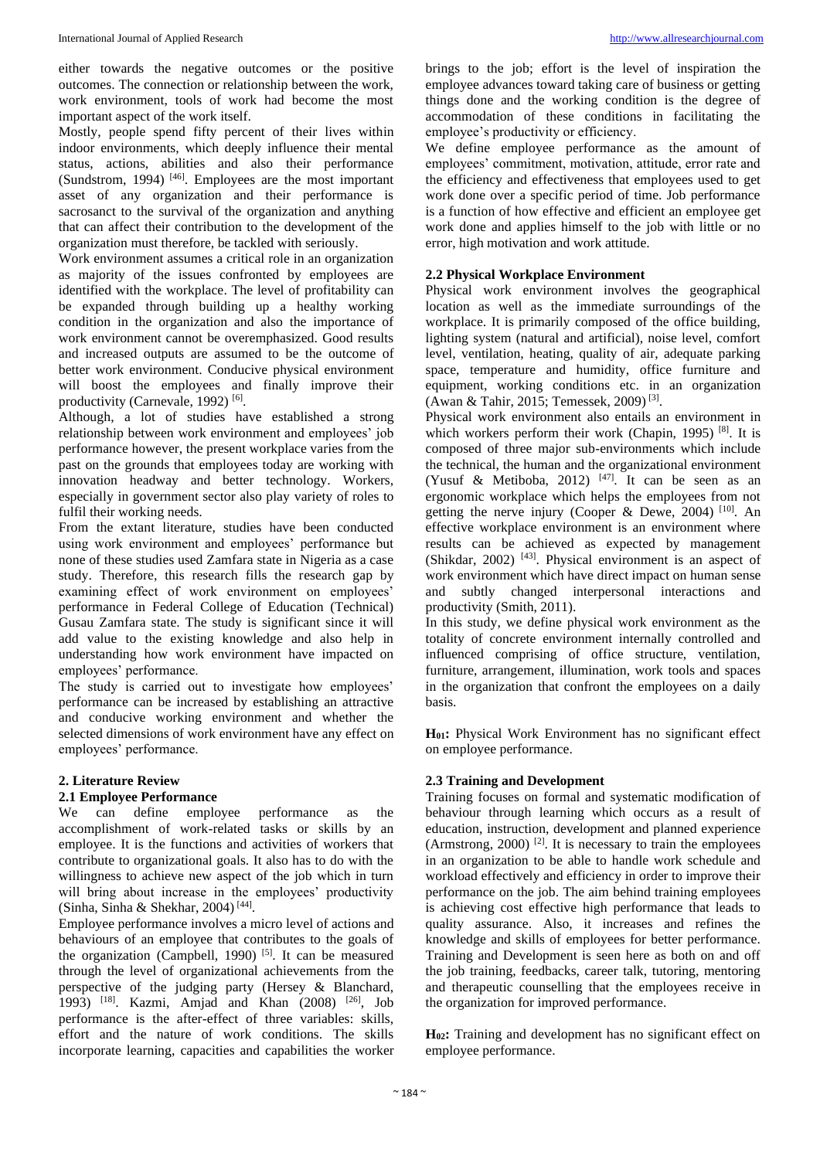either towards the negative outcomes or the positive outcomes. The connection or relationship between the work, work environment, tools of work had become the most important aspect of the work itself.

Mostly, people spend fifty percent of their lives within indoor environments, which deeply influence their mental status, actions, abilities and also their performance (Sundstrom, 1994)  $[46]$ . Employees are the most important asset of any organization and their performance is sacrosanct to the survival of the organization and anything that can affect their contribution to the development of the organization must therefore, be tackled with seriously.

Work environment assumes a critical role in an organization as majority of the issues confronted by employees are identified with the workplace. The level of profitability can be expanded through building up a healthy working condition in the organization and also the importance of work environment cannot be overemphasized. Good results and increased outputs are assumed to be the outcome of better work environment. Conducive physical environment will boost the employees and finally improve their productivity (Carnevale, 1992)<sup>[6]</sup>.

Although, a lot of studies have established a strong relationship between work environment and employees' job performance however, the present workplace varies from the past on the grounds that employees today are working with innovation headway and better technology. Workers, especially in government sector also play variety of roles to fulfil their working needs.

From the extant literature, studies have been conducted using work environment and employees' performance but none of these studies used Zamfara state in Nigeria as a case study. Therefore, this research fills the research gap by examining effect of work environment on employees' performance in Federal College of Education (Technical) Gusau Zamfara state. The study is significant since it will add value to the existing knowledge and also help in understanding how work environment have impacted on employees' performance.

The study is carried out to investigate how employees' performance can be increased by establishing an attractive and conducive working environment and whether the selected dimensions of work environment have any effect on employees' performance.

#### **2. Literature Review**

#### **2.1 Employee Performance**

We can define employee performance as the accomplishment of work-related tasks or skills by an employee. It is the functions and activities of workers that contribute to organizational goals. It also has to do with the willingness to achieve new aspect of the job which in turn will bring about increase in the employees' productivity (Sinha, Sinha & Shekhar, 2004)<sup>[44]</sup>.

Employee performance involves a micro level of actions and behaviours of an employee that contributes to the goals of the organization (Campbell, 1990)  $[5]$ . It can be measured through the level of organizational achievements from the perspective of the judging party (Hersey & Blanchard, 1993) [18]. Kazmi, Amjad and Khan (2008) [26], Job performance is the after-effect of three variables: skills, effort and the nature of work conditions. The skills incorporate learning, capacities and capabilities the worker

brings to the job; effort is the level of inspiration the employee advances toward taking care of business or getting things done and the working condition is the degree of accommodation of these conditions in facilitating the employee's productivity or efficiency.

We define employee performance as the amount of employees' commitment, motivation, attitude, error rate and the efficiency and effectiveness that employees used to get work done over a specific period of time. Job performance is a function of how effective and efficient an employee get work done and applies himself to the job with little or no error, high motivation and work attitude.

#### **2.2 Physical Workplace Environment**

Physical work environment involves the geographical location as well as the immediate surroundings of the workplace. It is primarily composed of the office building, lighting system (natural and artificial), noise level, comfort level, ventilation, heating, quality of air, adequate parking space, temperature and humidity, office furniture and equipment, working conditions etc. in an organization (Awan & Tahir, 2015; Temessek, 2009) [3] .

Physical work environment also entails an environment in which workers perform their work (Chapin, 1995)  $[8]$ . It is composed of three major sub-environments which include the technical, the human and the organizational environment (Yusuf & Metiboba, 2012)  $[47]$ . It can be seen as an ergonomic workplace which helps the employees from not getting the nerve injury (Cooper & Dewe, 2004)  $[10]$ . An effective workplace environment is an environment where results can be achieved as expected by management (Shikdar, 2002)<sup>[43]</sup>. Physical environment is an aspect of work environment which have direct impact on human sense and subtly changed interpersonal interactions and productivity (Smith, 2011).

In this study, we define physical work environment as the totality of concrete environment internally controlled and influenced comprising of office structure, ventilation, furniture, arrangement, illumination, work tools and spaces in the organization that confront the employees on a daily basis.

**H01:** Physical Work Environment has no significant effect on employee performance.

#### **2.3 Training and Development**

Training focuses on formal and systematic modification of behaviour through learning which occurs as a result of education, instruction, development and planned experience (Armstrong, 2000)  $^{[2]}$ . It is necessary to train the employees in an organization to be able to handle work schedule and workload effectively and efficiency in order to improve their performance on the job. The aim behind training employees is achieving cost effective high performance that leads to quality assurance. Also, it increases and refines the knowledge and skills of employees for better performance. Training and Development is seen here as both on and off the job training, feedbacks, career talk, tutoring, mentoring and therapeutic counselling that the employees receive in the organization for improved performance.

**H02:** Training and development has no significant effect on employee performance.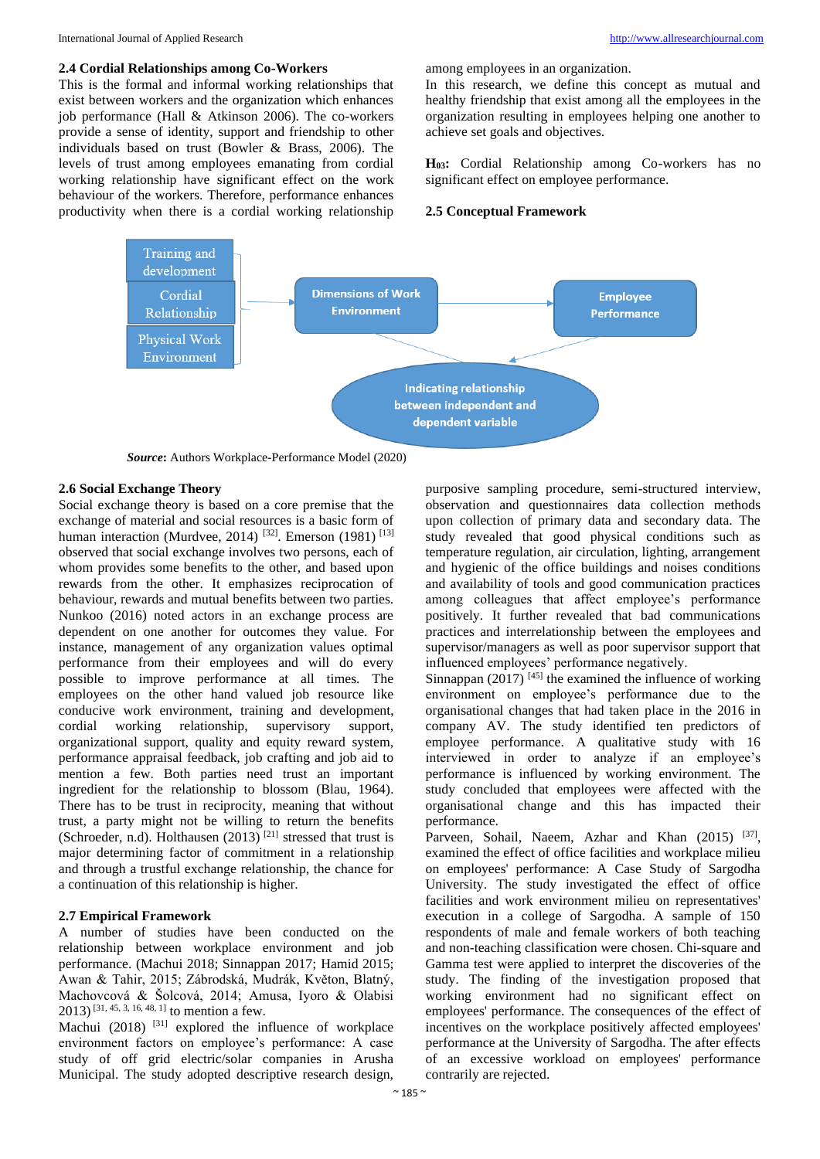#### **2.4 Cordial Relationships among Co-Workers**

This is the formal and informal working relationships that exist between workers and the organization which enhances iob performance (Hall  $&$  Atkinson 2006). The co-workers provide a sense of identity, support and friendship to other individuals based on trust (Bowler & Brass, 2006). The levels of trust among employees emanating from cordial working relationship have significant effect on the work behaviour of the workers. Therefore, performance enhances productivity when there is a cordial working relationship among employees in an organization.

In this research, we define this concept as mutual and healthy friendship that exist among all the employees in the organization resulting in employees helping one another to achieve set goals and objectives.

**H03:** Cordial Relationship among Co-workers has no significant effect on employee performance.

#### **2.5 Conceptual Framework**



*Source***:** Authors Workplace-Performance Model (2020)

#### **2.6 Social Exchange Theory**

Social exchange theory is based on a core premise that the exchange of material and social resources is a basic form of human interaction (Murdvee, 2014)<sup>[32]</sup>. Emerson (1981)<sup>[13]</sup> observed that social exchange involves two persons, each of whom provides some benefits to the other, and based upon rewards from the other. It emphasizes reciprocation of behaviour, rewards and mutual benefits between two parties. Nunkoo (2016) noted actors in an exchange process are dependent on one another for outcomes they value. For instance, management of any organization values optimal performance from their employees and will do every possible to improve performance at all times. The employees on the other hand valued job resource like conducive work environment, training and development, cordial working relationship, supervisory support, organizational support, quality and equity reward system, performance appraisal feedback, job crafting and job aid to mention a few. Both parties need trust an important ingredient for the relationship to blossom (Blau, 1964). There has to be trust in reciprocity, meaning that without trust, a party might not be willing to return the benefits (Schroeder, n.d). Holthausen  $(2013)$ <sup>[21]</sup> stressed that trust is major determining factor of commitment in a relationship and through a trustful exchange relationship, the chance for a continuation of this relationship is higher.

#### **2.7 Empirical Framework**

A number of studies have been conducted on the relationship between workplace environment and job performance. (Machui 2018; Sinnappan 2017; Hamid 2015; Awan & Tahir, 2015; Zábrodská, Mudrák, Květon, Blatný, Machovcová & Šolcová, 2014; Amusa, Iyoro & Olabisi 2013) [31, 45, 3, 16, 48, 1] to mention a few.

Machui (2018) <sup>[31]</sup> explored the influence of workplace environment factors on employee's performance: A case study of off grid electric/solar companies in Arusha Municipal. The study adopted descriptive research design,

purposive sampling procedure, semi-structured interview, observation and questionnaires data collection methods upon collection of primary data and secondary data. The study revealed that good physical conditions such as temperature regulation, air circulation, lighting, arrangement and hygienic of the office buildings and noises conditions and availability of tools and good communication practices among colleagues that affect employee's performance positively. It further revealed that bad communications practices and interrelationship between the employees and supervisor/managers as well as poor supervisor support that influenced employees' performance negatively.

Sinnappan  $(2017)$  [45] the examined the influence of working environment on employee's performance due to the organisational changes that had taken place in the 2016 in company AV. The study identified ten predictors of employee performance. A qualitative study with 16 interviewed in order to analyze if an employee's performance is influenced by working environment. The study concluded that employees were affected with the organisational change and this has impacted their performance.

Parveen, Sohail, Naeem, Azhar and Khan (2015) <sup>[37]</sup>, examined the effect of office facilities and workplace milieu on employees' performance: A Case Study of Sargodha University. The study investigated the effect of office facilities and work environment milieu on representatives' execution in a college of Sargodha. A sample of 150 respondents of male and female workers of both teaching and non-teaching classification were chosen. Chi-square and Gamma test were applied to interpret the discoveries of the study. The finding of the investigation proposed that working environment had no significant effect on employees' performance. The consequences of the effect of incentives on the workplace positively affected employees' performance at the University of Sargodha. The after effects of an excessive workload on employees' performance contrarily are rejected.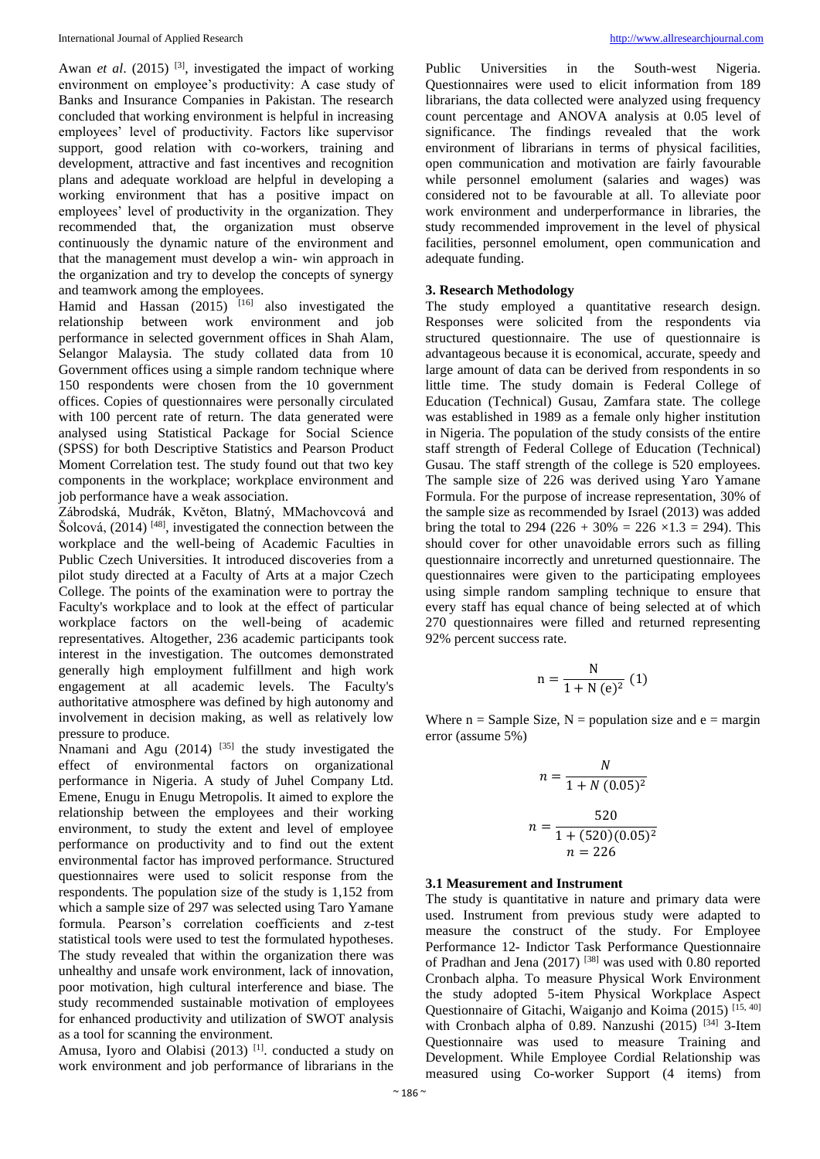Awan *et al.* (2015) <sup>[3]</sup>, investigated the impact of working environment on employee's productivity: A case study of Banks and Insurance Companies in Pakistan. The research concluded that working environment is helpful in increasing employees' level of productivity. Factors like supervisor support, good relation with co-workers, training and development, attractive and fast incentives and recognition plans and adequate workload are helpful in developing a working environment that has a positive impact on employees' level of productivity in the organization. They recommended that, the organization must observe continuously the dynamic nature of the environment and that the management must develop a win- win approach in the organization and try to develop the concepts of synergy and teamwork among the employees.

Hamid and Hassan  $(2015)$  <sup>[16]</sup> also investigated the relationship between work environment and job performance in selected government offices in Shah Alam, Selangor Malaysia. The study collated data from 10 Government offices using a simple random technique where 150 respondents were chosen from the 10 government offices. Copies of questionnaires were personally circulated with 100 percent rate of return. The data generated were analysed using Statistical Package for Social Science (SPSS) for both Descriptive Statistics and Pearson Product Moment Correlation test. The study found out that two key components in the workplace; workplace environment and job performance have a weak association.

Zábrodská, Mudrák, Květon, Blatný, MMachovcová and Šolcová,  $(2014)$ <sup>[48]</sup>, investigated the connection between the workplace and the well-being of Academic Faculties in Public Czech Universities. It introduced discoveries from a pilot study directed at a Faculty of Arts at a major Czech College. The points of the examination were to portray the Faculty's workplace and to look at the effect of particular workplace factors on the well-being of academic representatives. Altogether, 236 academic participants took interest in the investigation. The outcomes demonstrated generally high employment fulfillment and high work engagement at all academic levels. The Faculty's authoritative atmosphere was defined by high autonomy and involvement in decision making, as well as relatively low pressure to produce.

Nnamani and Agu  $(2014)$  <sup>[35]</sup> the study investigated the effect of environmental factors on organizational performance in Nigeria. A study of Juhel Company Ltd. Emene, Enugu in Enugu Metropolis. It aimed to explore the relationship between the employees and their working environment, to study the extent and level of employee performance on productivity and to find out the extent environmental factor has improved performance. Structured questionnaires were used to solicit response from the respondents. The population size of the study is 1,152 from which a sample size of 297 was selected using Taro Yamane formula. Pearson's correlation coefficients and z-test statistical tools were used to test the formulated hypotheses. The study revealed that within the organization there was unhealthy and unsafe work environment, lack of innovation, poor motivation, high cultural interference and biase. The study recommended sustainable motivation of employees for enhanced productivity and utilization of SWOT analysis as a tool for scanning the environment.

Amusa, Iyoro and Olabisi (2013) <sup>[1]</sup>. conducted a study on work environment and job performance of librarians in the

Public Universities in the South-west Nigeria. Questionnaires were used to elicit information from 189 librarians, the data collected were analyzed using frequency count percentage and ANOVA analysis at 0.05 level of significance. The findings revealed that the work environment of librarians in terms of physical facilities, open communication and motivation are fairly favourable while personnel emolument (salaries and wages) was considered not to be favourable at all. To alleviate poor work environment and underperformance in libraries, the study recommended improvement in the level of physical facilities, personnel emolument, open communication and adequate funding.

#### **3. Research Methodology**

The study employed a quantitative research design. Responses were solicited from the respondents via structured questionnaire. The use of questionnaire is advantageous because it is economical, accurate, speedy and large amount of data can be derived from respondents in so little time. The study domain is Federal College of Education (Technical) Gusau, Zamfara state. The college was established in 1989 as a female only higher institution in Nigeria. The population of the study consists of the entire staff strength of Federal College of Education (Technical) Gusau. The staff strength of the college is 520 employees. The sample size of 226 was derived using Yaro Yamane Formula. For the purpose of increase representation, 30% of the sample size as recommended by Israel (2013) was added bring the total to 294 (226 + 30% = 226  $\times$ 1.3 = 294). This should cover for other unavoidable errors such as filling questionnaire incorrectly and unreturned questionnaire. The questionnaires were given to the participating employees using simple random sampling technique to ensure that every staff has equal chance of being selected at of which 270 questionnaires were filled and returned representing 92% percent success rate.

$$
n = \frac{N}{1 + N (e)^2} (1)
$$

Where  $n =$  Sample Size,  $N =$  population size and  $e =$  margin error (assume 5%)

$$
n = \frac{N}{1 + N (0.05)^2}
$$

$$
n = \frac{520}{1 + (520)(0.05)^2}
$$

$$
n = 226
$$

#### **3.1 Measurement and Instrument**

The study is quantitative in nature and primary data were used. Instrument from previous study were adapted to measure the construct of the study. For Employee Performance 12- Indictor Task Performance Questionnaire of Pradhan and Jena (2017) [38] was used with 0.80 reported Cronbach alpha. To measure Physical Work Environment the study adopted 5-item Physical Workplace Aspect Questionnaire of Gitachi, Waiganjo and Koima (2015)  $[15, 40]$ with Cronbach alpha of 0.89. Nanzushi (2015)  $[34]$  3-Item Questionnaire was used to measure Training and Development. While Employee Cordial Relationship was measured using Co-worker Support (4 items) from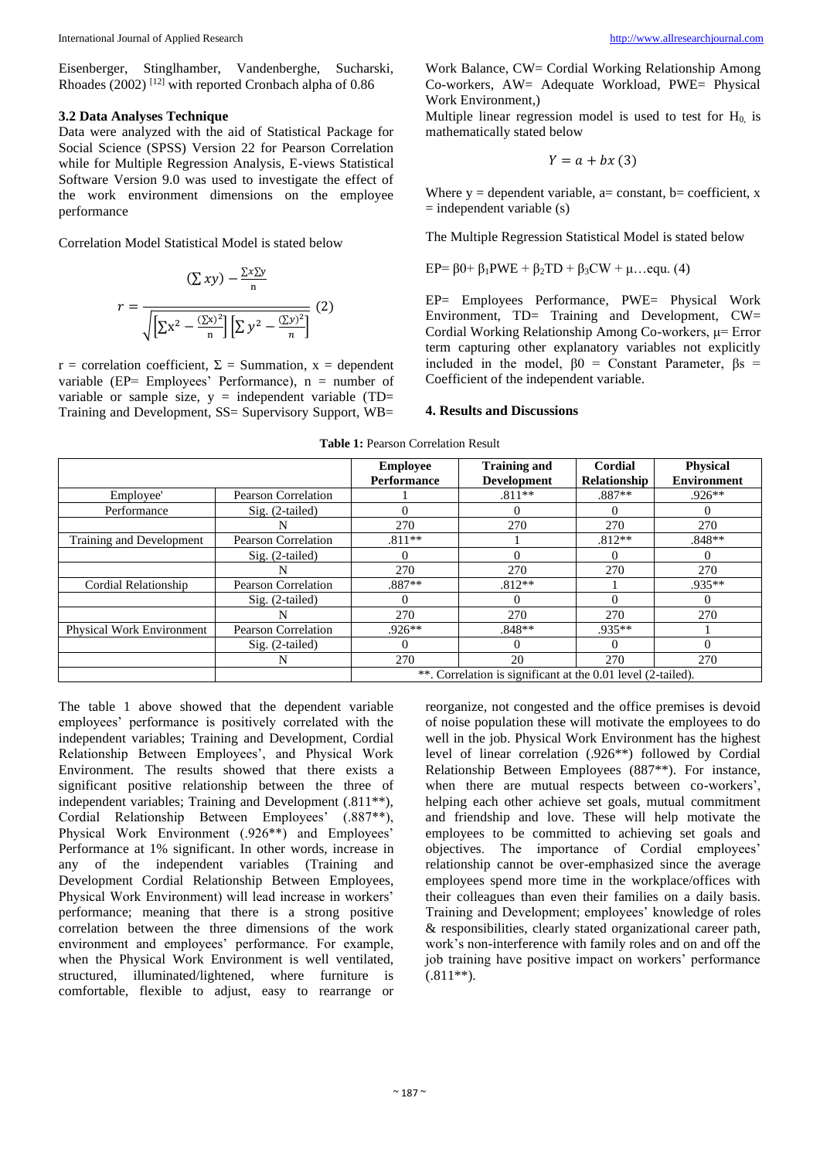Eisenberger, Stinglhamber, Vandenberghe, Sucharski, Rhoades (2002)<sup>[12]</sup> with reported Cronbach alpha of 0.86

#### **3.2 Data Analyses Technique**

Data were analyzed with the aid of Statistical Package for Social Science (SPSS) Version 22 for Pearson Correlation while for Multiple Regression Analysis, E-views Statistical Software Version 9.0 was used to investigate the effect of the work environment dimensions on the employee performance

Correlation Model Statistical Model is stated below

$$
\left(\sum xy\right) - \frac{\sum x \sum y}{n}
$$
\n
$$
r = \frac{\sqrt{\left[\sum x^2 - \frac{\left(\sum x\right)^2}{n}\right] \left[\sum y^2 - \frac{\left(\sum y\right)^2}{n}\right]}} (2)
$$

 $r =$  correlation coefficient,  $\Sigma =$  Summation,  $x =$  dependent variable (EP= Employees' Performance),  $n =$  number of variable or sample size,  $y =$  independent variable (TD= Training and Development, SS= Supervisory Support, WB=

Work Balance, CW= Cordial Working Relationship Among Co-workers, AW= Adequate Workload, PWE= Physical Work Environment,)

Multiple linear regression model is used to test for  $H_0$  is mathematically stated below

$$
Y = a + bx \ (3)
$$

Where  $y =$  dependent variable, a= constant, b= coefficient, x  $=$  independent variable  $(s)$ 

The Multiple Regression Statistical Model is stated below

$$
EP = \beta 0 + \beta_1 PWE + \beta_2 TD + \beta_3 CW + \mu...equ. (4)
$$

EP= Employees Performance, PWE= Physical Work Environment, TD= Training and Development, CW= Cordial Working Relationship Among Co-workers, μ= Error term capturing other explanatory variables not explicitly included in the model,  $\beta 0$  = Constant Parameter,  $\beta s$  = Coefficient of the independent variable.

#### **4. Results and Discussions**

|                                  |                     | <b>Employee</b><br><b>Performance</b>                        | <b>Training and</b><br><b>Development</b> | Cordial<br>Relationship | <b>Physical</b><br><b>Environment</b> |
|----------------------------------|---------------------|--------------------------------------------------------------|-------------------------------------------|-------------------------|---------------------------------------|
| Employee'                        | Pearson Correlation |                                                              | $.811**$                                  | $.887**$                | $.926**$                              |
| Performance                      | $Sig. (2-tailed)$   | $\Omega$                                                     | $\Omega$                                  | $\theta$                |                                       |
|                                  |                     | 270                                                          | 270                                       | 270                     | 270                                   |
| Training and Development         | Pearson Correlation | $.811**$                                                     |                                           | $.812**$                | $.848**$                              |
|                                  | $Sig. (2-tailed)$   | $\Omega$                                                     | $\Omega$                                  | 0                       | 0                                     |
|                                  | N                   | 270                                                          | 270                                       | 270                     | 270                                   |
| Cordial Relationship             | Pearson Correlation | .887**                                                       | $.812**$                                  |                         | .935**                                |
|                                  | $Sig. (2-tailed)$   | 0                                                            | $\Omega$                                  | 0                       | $^{(1)}$                              |
|                                  | N                   | 270                                                          | 270                                       | 270                     | 270                                   |
| <b>Physical Work Environment</b> | Pearson Correlation | $.926**$                                                     | $.848**$                                  | .935**                  |                                       |
|                                  | $Sig. (2-tailed)$   | $\Omega$                                                     | $\Omega$                                  | $\theta$                | 0                                     |
|                                  | N                   | 270                                                          | 20                                        | 270                     | 270                                   |
|                                  |                     | **. Correlation is significant at the 0.01 level (2-tailed). |                                           |                         |                                       |

**Table 1:** Pearson Correlation Result

The table 1 above showed that the dependent variable employees' performance is positively correlated with the independent variables; Training and Development, Cordial Relationship Between Employees', and Physical Work Environment. The results showed that there exists a significant positive relationship between the three of independent variables; Training and Development (.811\*\*), Cordial Relationship Between Employees' (.887\*\*), Physical Work Environment (.926\*\*) and Employees' Performance at 1% significant. In other words, increase in any of the independent variables (Training and Development Cordial Relationship Between Employees, Physical Work Environment) will lead increase in workers' performance; meaning that there is a strong positive correlation between the three dimensions of the work environment and employees' performance. For example, when the Physical Work Environment is well ventilated, structured, illuminated/lightened, where furniture is comfortable, flexible to adjust, easy to rearrange or

reorganize, not congested and the office premises is devoid of noise population these will motivate the employees to do well in the job. Physical Work Environment has the highest level of linear correlation (.926\*\*) followed by Cordial Relationship Between Employees (887\*\*). For instance, when there are mutual respects between co-workers', helping each other achieve set goals, mutual commitment and friendship and love. These will help motivate the employees to be committed to achieving set goals and objectives. The importance of Cordial employees' relationship cannot be over-emphasized since the average employees spend more time in the workplace/offices with their colleagues than even their families on a daily basis. Training and Development; employees' knowledge of roles & responsibilities, clearly stated organizational career path, work's non-interference with family roles and on and off the job training have positive impact on workers' performance  $(.811**).$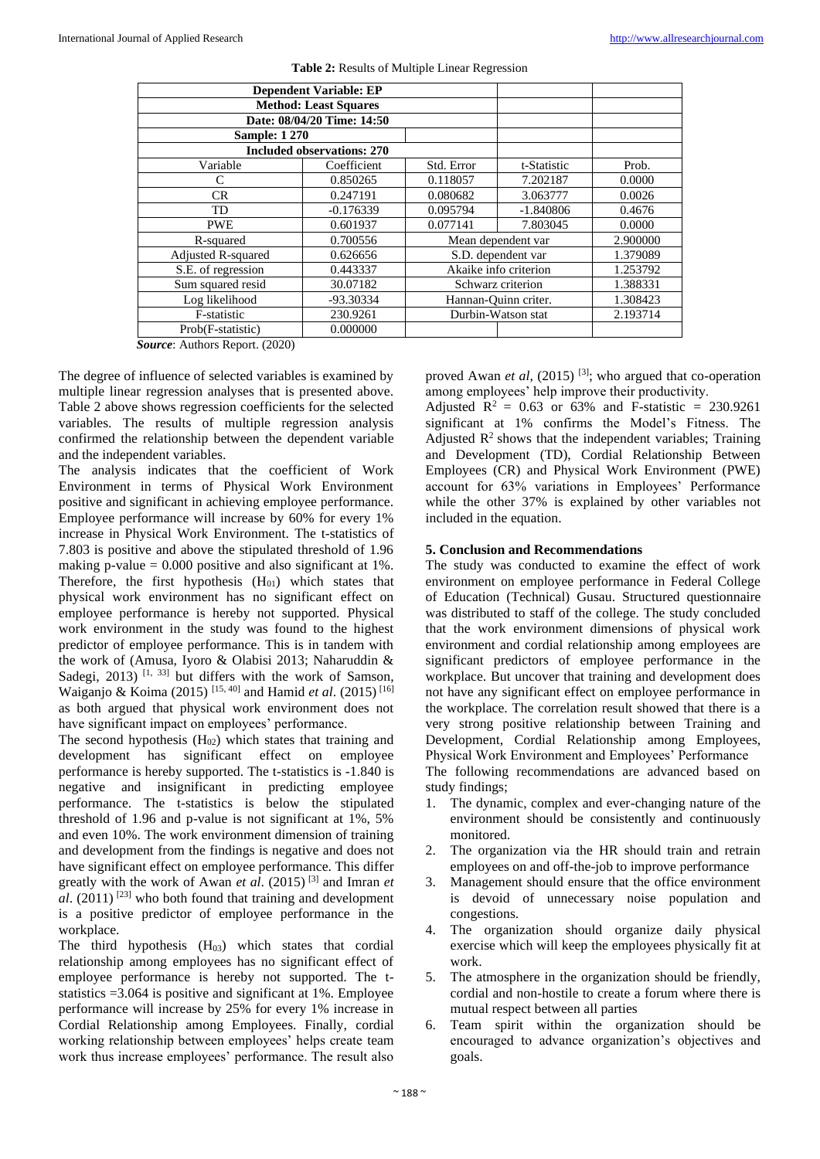| <b>Dependent Variable: EP</b>     |                            |                      |                       |          |
|-----------------------------------|----------------------------|----------------------|-----------------------|----------|
| <b>Method: Least Squares</b>      |                            |                      |                       |          |
|                                   | Date: 08/04/20 Time: 14:50 |                      |                       |          |
| <b>Sample: 1 270</b>              |                            |                      |                       |          |
| <b>Included observations: 270</b> |                            |                      |                       |          |
| Variable                          | Coefficient                | Std. Error           | t-Statistic           | Prob.    |
| C                                 | 0.850265                   | 0.118057             | 7.202187              | 0.0000   |
| <b>CR</b>                         | 0.247191                   | 0.080682             | 3.063777              | 0.0026   |
| <b>TD</b>                         | $-0.176339$                | 0.095794             | $-1.840806$           | 0.4676   |
| <b>PWE</b>                        | 0.601937                   | 0.077141             | 7.803045              | 0.0000   |
| R-squared                         | 0.700556                   | Mean dependent var   |                       | 2.900000 |
| Adjusted R-squared                | 0.626656                   | S.D. dependent var   |                       | 1.379089 |
| S.E. of regression                | 0.443337                   |                      | Akaike info criterion | 1.253792 |
| Sum squared resid                 | 30.07182                   | Schwarz criterion    |                       | 1.388331 |
| Log likelihood                    | -93.30334                  | Hannan-Quinn criter. |                       | 1.308423 |
| F-statistic                       | 230.9261                   | Durbin-Watson stat   |                       | 2.193714 |
| Prob(F-statistic)                 | 0.000000                   |                      |                       |          |

**Table 2:** Results of Multiple Linear Regression

*Source*: Authors Report. (2020)

The degree of influence of selected variables is examined by multiple linear regression analyses that is presented above. Table 2 above shows regression coefficients for the selected variables. The results of multiple regression analysis confirmed the relationship between the dependent variable and the independent variables.

The analysis indicates that the coefficient of Work Environment in terms of Physical Work Environment positive and significant in achieving employee performance. Employee performance will increase by 60% for every 1% increase in Physical Work Environment. The t-statistics of 7.803 is positive and above the stipulated threshold of 1.96 making p-value  $= 0.000$  positive and also significant at 1%. Therefore, the first hypothesis  $(H<sub>01</sub>)$  which states that physical work environment has no significant effect on employee performance is hereby not supported. Physical work environment in the study was found to the highest predictor of employee performance. This is in tandem with the work of (Amusa, Iyoro & Olabisi 2013; Naharuddin & Sadegi, 2013)<sup>[1, 33]</sup> but differs with the work of Samson, Waiganjo & Koima (2015) [15, 40] and Hamid *et al*. (2015) [16] as both argued that physical work environment does not have significant impact on employees' performance.

The second hypothesis  $(H_{02})$  which states that training and development has significant effect on employee performance is hereby supported. The t-statistics is -1.840 is negative and insignificant in predicting employee performance. The t-statistics is below the stipulated threshold of 1.96 and p-value is not significant at 1%, 5% and even 10%. The work environment dimension of training and development from the findings is negative and does not have significant effect on employee performance. This differ greatly with the work of Awan *et al*. (2015) [3] and Imran *et*   $al.$  (2011)<sup>[23]</sup> who both found that training and development is a positive predictor of employee performance in the workplace.

The third hypothesis  $(H_{03})$  which states that cordial relationship among employees has no significant effect of employee performance is hereby not supported. The tstatistics =3.064 is positive and significant at 1%. Employee performance will increase by 25% for every 1% increase in Cordial Relationship among Employees. Finally, cordial working relationship between employees' helps create team work thus increase employees' performance. The result also proved Awan *et al*, (2015)<sup>[3]</sup>; who argued that co-operation among employees' help improve their productivity.

Adjusted  $R^2 = 0.63$  or 63% and F-statistic = 230.9261 significant at 1% confirms the Model's Fitness. The Adjusted  $\mathbb{R}^2$  shows that the independent variables; Training and Development (TD), Cordial Relationship Between Employees (CR) and Physical Work Environment (PWE) account for 63% variations in Employees' Performance while the other 37% is explained by other variables not included in the equation.

#### **5. Conclusion and Recommendations**

The study was conducted to examine the effect of work environment on employee performance in Federal College of Education (Technical) Gusau. Structured questionnaire was distributed to staff of the college. The study concluded that the work environment dimensions of physical work environment and cordial relationship among employees are significant predictors of employee performance in the workplace. But uncover that training and development does not have any significant effect on employee performance in the workplace. The correlation result showed that there is a very strong positive relationship between Training and Development, Cordial Relationship among Employees, Physical Work Environment and Employees' Performance

The following recommendations are advanced based on study findings;

- 1. The dynamic, complex and ever-changing nature of the environment should be consistently and continuously monitored.
- 2. The organization via the HR should train and retrain employees on and off-the-job to improve performance
- 3. Management should ensure that the office environment is devoid of unnecessary noise population and congestions.
- 4. The organization should organize daily physical exercise which will keep the employees physically fit at work.
- 5. The atmosphere in the organization should be friendly, cordial and non-hostile to create a forum where there is mutual respect between all parties
- 6. Team spirit within the organization should be encouraged to advance organization's objectives and goals.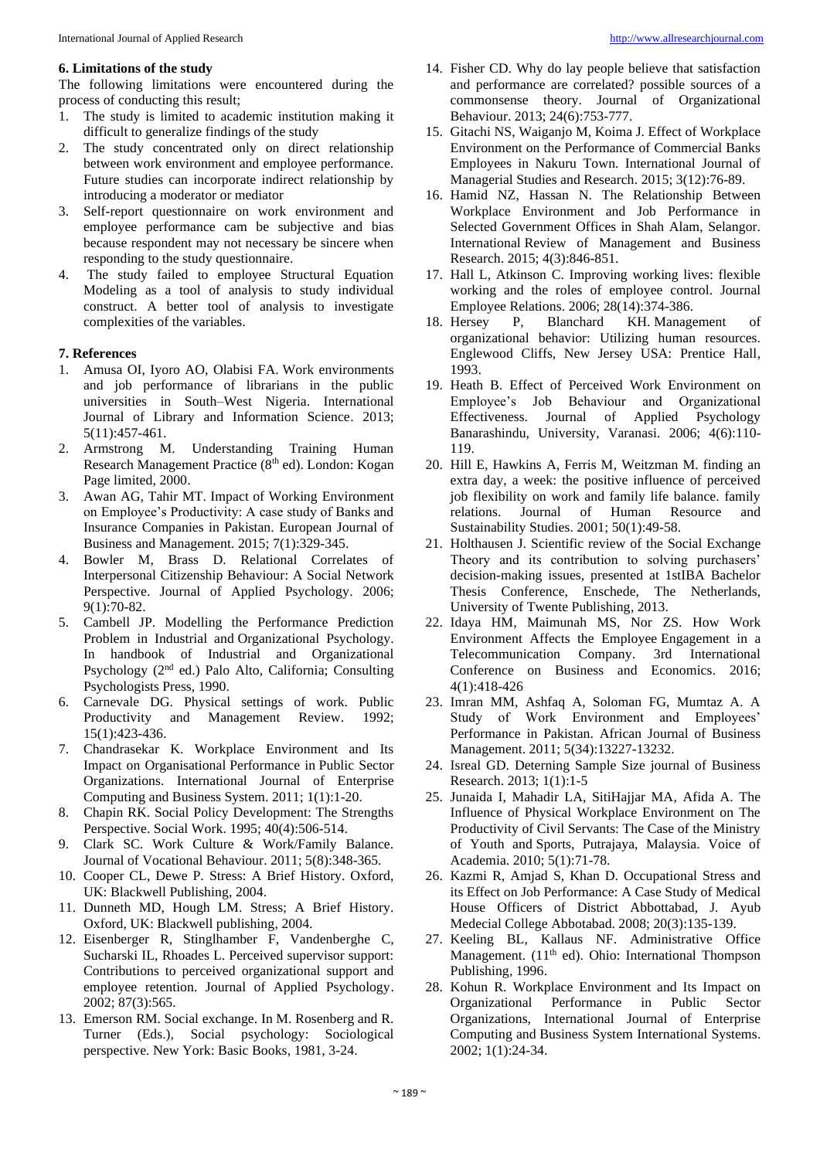#### **6. Limitations of the study**

The following limitations were encountered during the process of conducting this result;

- 1. The study is limited to academic institution making it difficult to generalize findings of the study
- 2. The study concentrated only on direct relationship between work environment and employee performance. Future studies can incorporate indirect relationship by introducing a moderator or mediator
- 3. Self-report questionnaire on work environment and employee performance cam be subjective and bias because respondent may not necessary be sincere when responding to the study questionnaire.
- 4. The study failed to employee Structural Equation Modeling as a tool of analysis to study individual construct. A better tool of analysis to investigate complexities of the variables.

#### **7. References**

- 1. Amusa OI, Iyoro AO, Olabisi FA. Work environments and job performance of librarians in the public universities in South–West Nigeria. International Journal of Library and Information Science. 2013; 5(11):457-461.
- 2. Armstrong M. Understanding Training Human Research Management Practice (8<sup>th</sup> ed). London: Kogan Page limited, 2000.
- 3. Awan AG, Tahir MT. Impact of Working Environment on Employee's Productivity: A case study of Banks and Insurance Companies in Pakistan. European Journal of Business and Management. 2015; 7(1):329-345.
- 4. Bowler M, Brass D. Relational Correlates of Interpersonal Citizenship Behaviour: A Social Network Perspective. Journal of Applied Psychology. 2006; 9(1):70-82.
- 5. Cambell JP. Modelling the Performance Prediction Problem in Industrial and Organizational Psychology. In handbook of Industrial and Organizational Psychology (2nd ed.) Palo Alto, California; Consulting Psychologists Press, 1990.
- Carnevale DG. Physical settings of work. Public Productivity and Management Review. 1992; 15(1):423-436.
- 7. Chandrasekar K. Workplace Environment and Its Impact on Organisational Performance in Public Sector Organizations. International Journal of Enterprise Computing and Business System. 2011; 1(1):1-20.
- 8. Chapin RK. Social Policy Development: The Strengths Perspective. Social Work. 1995; 40(4):506-514.
- 9. Clark SC. Work Culture & Work/Family Balance. Journal of Vocational Behaviour. 2011; 5(8):348-365.
- 10. Cooper CL, Dewe P. Stress: A Brief History. Oxford, UK: Blackwell Publishing, 2004.
- 11. Dunneth MD, Hough LM. Stress; A Brief History. Oxford, UK: Blackwell publishing, 2004.
- 12. Eisenberger R, Stinglhamber F, Vandenberghe C, Sucharski IL, Rhoades L. Perceived supervisor support: Contributions to perceived organizational support and employee retention. Journal of Applied Psychology. 2002; 87(3):565.
- 13. Emerson RM. Social exchange. In M. Rosenberg and R. Turner (Eds.), Social psychology: Sociological perspective. New York: Basic Books, 1981, 3-24.
- 14. Fisher CD. Why do lay people believe that satisfaction and performance are correlated? possible sources of a commonsense theory. Journal of Organizational Behaviour. 2013; 24(6):753-777.
- 15. Gitachi NS, Waiganjo M, Koima J. Effect of Workplace Environment on the Performance of Commercial Banks Employees in Nakuru Town. International Journal of Managerial Studies and Research. 2015; 3(12):76-89.
- 16. Hamid NZ, Hassan N. The Relationship Between Workplace Environment and Job Performance in Selected Government Offices in Shah Alam, Selangor. International Review of Management and Business Research. 2015; 4(3):846-851.
- 17. Hall L, Atkinson C. Improving working lives: flexible working and the roles of employee control. Journal Employee Relations. 2006; 28(14):374-386.
- 18. Hersey P, Blanchard KH. Management of organizational behavior: Utilizing human resources. Englewood Cliffs, New Jersey USA: Prentice Hall, 1993.
- 19. Heath B. Effect of Perceived Work Environment on Employee's Job Behaviour and Organizational Effectiveness. Journal of Applied Psychology Banarashindu, University, Varanasi. 2006; 4(6):110- 119.
- 20. Hill E, Hawkins A, Ferris M, Weitzman M. finding an extra day, a week: the positive influence of perceived job flexibility on work and family life balance. family relations. Journal of Human Resource and Sustainability Studies. 2001; 50(1):49-58.
- 21. Holthausen J. Scientific review of the Social Exchange Theory and its contribution to solving purchasers' decision-making issues, presented at 1stIBA Bachelor Thesis Conference, Enschede, The Netherlands, University of Twente Publishing, 2013.
- 22. Idaya HM, Maimunah MS, Nor ZS. How Work Environment Affects the Employee Engagement in a Telecommunication Company. 3rd International Conference on Business and Economics. 2016; 4(1):418-426
- 23. Imran MM, Ashfaq A, Soloman FG, Mumtaz A. A Study of Work Environment and Employees' Performance in Pakistan. African Journal of Business Management. 2011; 5(34):13227-13232.
- 24. Isreal GD. Deterning Sample Size journal of Business Research. 2013; 1(1):1-5
- 25. Junaida I, Mahadir LA, SitiHajjar MA, Afida A. The Influence of Physical Workplace Environment on The Productivity of Civil Servants: The Case of the Ministry of Youth and Sports, Putrajaya, Malaysia. Voice of Academia. 2010; 5(1):71-78.
- 26. Kazmi R, Amjad S, Khan D. Occupational Stress and its Effect on Job Performance: A Case Study of Medical House Officers of District Abbottabad, J. Ayub Medecial College Abbotabad. 2008; 20(3):135-139.
- 27. Keeling BL, Kallaus NF. Administrative Office Management. (11<sup>th</sup> ed). Ohio: International Thompson Publishing, 1996.
- 28. Kohun R. Workplace Environment and Its Impact on Organizational Performance in Public Sector Organizations, International Journal of Enterprise Computing and Business System International Systems. 2002; 1(1):24-34.